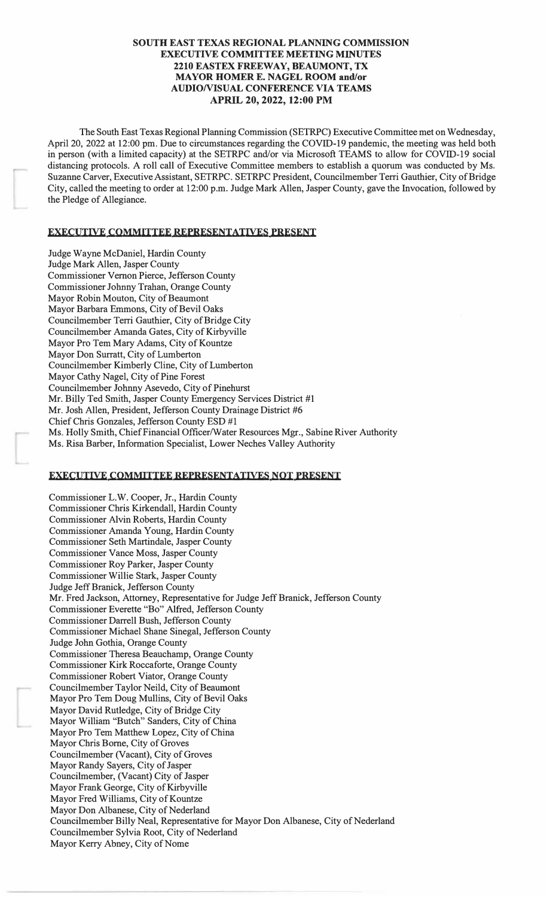# **SOUTH EAST TEXAS REGIONAL PLANNING COMMISSION EXECUTIVE COMMITTEE MEETING MINUTES 2210 EASTEX FREEWAY, BEAUMONT, TX MAYOR HOMER E. NAGEL ROOM and/or AUDIONISUAL CONFERENCE VIA TEAMS APRIL 20, 2022, 12:00 PM**

The South East Texas Regional Planning Commission (SETRPC) Executive Committee met on Wednesday, April 20, 2022 at 12:00 pm. Due to circumstances regarding the COVID-19 pandemic, the meeting was held both in person (with a limited capacity) at the SETRPC and/or via Microsoft TEAMS to allow for COVID-19 social distancing protocols. A roll call of Executive Committee members to establish a quorum was conducted by Ms. Suzanne Carver, Executive Assistant, SETRPC. SETRPC President, Councilmember Terri Gauthier, City of Bridge City, called the meeting to order at 12:00 p.m. Judge Mark Allen, Jasper County, gave the Invocation, followed by the Pledge of Allegiance.

## **EXECUTIVE COMMITTEE REPRESENTATIVES PRESENT**

Judge Wayne McDaniel, Hardin County Judge Mark Allen, Jasper County Commissioner Vernon Pierce, Jefferson County Commissioner Johnny Trahan, Orange County Mayor Robin Mouton, City of Beaumont Mayor Barbara Emmons, City of Bevil Oaks Councilmember Terri Gauthier, City of Bridge City Councilmember Amanda Gates, City of Kirbyville Mayor Pro Tem Mary Adams, City of Kountze Mayor Don Surratt, City of Lumberton Councilmember Kimberly Cline, City of Lumberton Mayor Cathy Nagel, City of Pine Forest Councilmember Johnny Asevedo, City of Pinehurst Mr. Billy Ted Smith, Jasper County Emergency Services District #1 Mr. Josh Allen, President, Jefferson County Drainage District #6 Chief Chris Gonzales, Jefferson County ESD #1 Ms. Holly Smith, Chief Financial Officer/Water Resources Mgr., Sabine River Authority Ms. Risa Barber, Information Specialist, Lower Neches Valley Authority

#### **EXECUTIVE COMMITTEE REPRESENTATIVES NOT PRESENT**

Commissioner L.W. Cooper, Jr., Hardin County Commissioner Chris Kirkendall, Hardin County Commissioner Alvin Roberts, Hardin County Commissioner Amanda Young, Hardin County Commissioner Seth Martindale, Jasper County Commissioner Vance Moss, Jasper County Commissioner Roy Parker, Jasper County Commissioner Willie Stark, Jasper County Judge Jeff Branick, Jefferson County Mr. Fred Jackson, Attorney, Representative for Judge Jeff Branick, Jefferson County Commissioner Everette "Bo" Alfred, Jefferson County Commissioner Darrell Bush, Jefferson County Commissioner Michael Shane Sinegal, Jefferson County Judge John Gothia, Orange County Commissioner Theresa Beauchamp, Orange County Commissioner Kirk Roccaforte, Orange County Commissioner Robert Viator, Orange County Councilmember Taylor Neild, City of Beaumont Mayor Pro Tem Doug Mullins, City of Bevil Oaks Mayor David Rutledge, City of Bridge City Mayor William "Butch" Sanders, City of China Mayor Pro Tem Matthew Lopez, City of China Mayor Chris Borne, City of Groves Councilmember (Vacant), City of Groves Mayor Randy Sayers, City of Jasper Councilmember, (Vacant) City of Jasper Mayor Frank George, City of Kirbyville Mayor Fred Williams, City of Kountze Mayor Don Albanese, City of Nederland Councilmember Billy Neal, Representative for Mayor Don Albanese, City of Nederland Councilmember Sylvia Root, City of Nederland Mayor Kerry Abney, City of Nome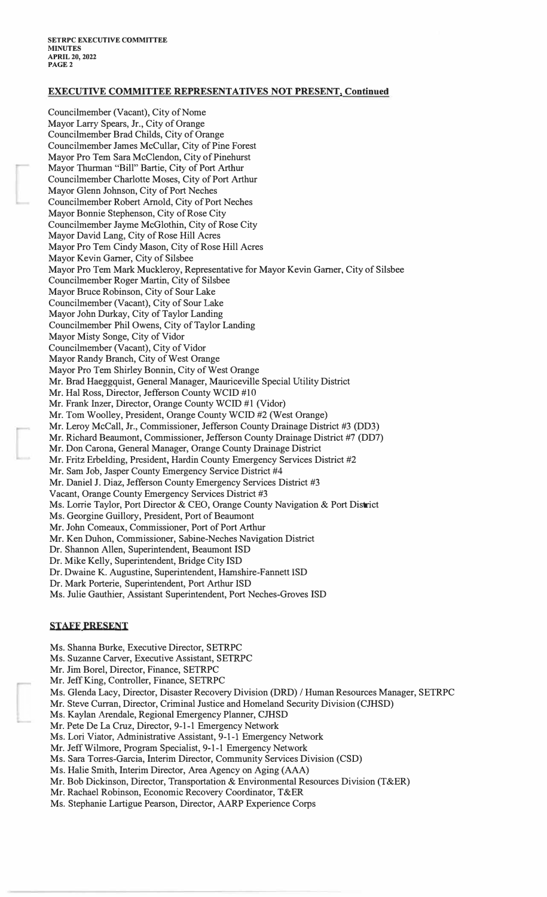# **EXECUTIVE COMMITTEE REPRESENTATIVES NOT PRESENTl Continued**

Councilmember (Vacant), City of Nome Mayor Larry Spears, Jr., City of Orange Councilmember Brad Childs, City of Orange Councilmember James McCullar, City of Pine Forest Mayor Pro Tern Sara McClendon, City of Pinehurst Mayor Thurman "Bill" Bartie, City of Port Arthur Councilmember Charlotte Moses, City of Port Arthur Mayor Glenn Johnson, City of Port Neches Councilmember Robert Arnold, City of Port Neches Mayor Bonnie Stephenson, City of Rose City Councilmember Jayme McGlothin, City of Rose City Mayor David Lang, City of Rose Hill Acres Mayor Pro Tern Cindy Mason, City of Rose Hill Acres Mayor Kevin Garner, City of Silsbee Mayor Pro Tem Mark Muckleroy, Representative for Mayor Kevin Garner, City of Silsbee Councilmember Roger Martin, City of Silsbee Mayor Bruce Robinson, City of Sour Lake Councilmember (Vacant), City of Sour Lake Mayor John Durkay, City of Taylor Landing Councilmember Phil Owens, City of Taylor Landing Mayor Misty Songe, City of Vidor Councilmember (Vacant), City of Vidor Mayor Randy Branch, City of West Orange Mayor Pro Tern Shirley Bonnin, City of West Orange Mr. Brad Haeggquist, General Manager, Mauriceville Special Utility District Mr. Hal Ross, Director, Jefferson County WCID #10 Mr. Frank Inzer, Director, Orange County WCID #1 (Vidor) Mr. Tom Woolley, President, Orange County WCID #2 (West Orange) Mr. Leroy McCall, Jr., Commissioner, Jefferson County Drainage District #3 (DD3) Mr. Richard Beaumont, Commissioner, Jefferson County Drainage District #7 (DD7) Mr. Don Carona, General Manager, Orange County Drainage District Mr. Fritz Erbelding, President, Hardin County Emergency Services District #2 Mr. Sam Job, Jasper County Emergency Service District #4 Mr. Daniel J. Diaz, Jefferson County Emergency Services District #3 Vacant, Orange County Emergency Services District #3 Ms. Lorrie Taylor, Port Director & CEO, Orange County Navigation & Port District Ms. Georgine Guillory, President, Port of Beaumont Mr. John Comeaux, Commissioner, Port of Port Arthur Mr. Ken Duhon, Commissioner, Sabine-Neches Navigation District Dr. Shannon Allen, Superintendent, Beaumont ISD Dr. Mike Kelly, Superintendent, Bridge City ISD Dr. Dwaine **K.** Augustine, Superintendent, Hamshire-Fannett ISD Dr. Mark Porterie, Superintendent, Port Arthur ISD Ms. Julie Gauthier, Assistant Superintendent, Port Neches-Groves ISD

#### **STAFF PRESENT**

- Ms. Shanna Burke, Executive Director, SETRPC
- Ms. Suzanne Carver, Executive Assistant, SETRPC
- Mr. Jim Borel, Director, Finance, SETRPC
- Mr. Jeff King, Controller, Finance, SETRPC
- Ms. Glenda Lacy, Director, Disaster Recovery Division (DRD) / Human Resources Manager, SETRPC
- Mr. Steve Curran, Director, Criminal Justice and Homeland Security Division (CJHSD)
- Ms. Kaylan Arendale, Regional Emergency Planner, CJHSD
- Mr. Pete De La Cruz, Director, 9-1-1 Emergency Network
- Ms. Lori Viator, Administrative Assistant, 9-1-1 Emergency Network
- Mr. Jeff Wilmore, Program Specialist, 9-1-1 Emergency Network
- Ms. Sara Torres-Garcia, Interim Director, Community Services Division (CSD)
- Ms. Halie Smith, Interim Director, Area Agency on Aging (AAA)
- Mr. Bob Dickinson, Director, Transportation & Environmental Resources Division (T&ER)
- Mr. Rachael Robinson, Economic Recovery Coordinator, T&ER
- Ms. Stephanie Lartigue Pearson, Director, AARP Experience Corps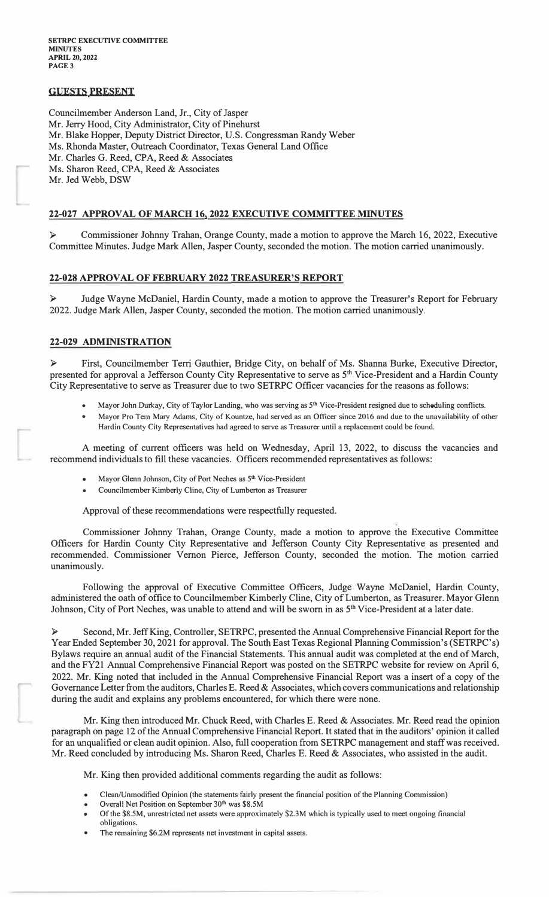# **GUESTS PRESENT**

Councilmember Anderson Land, Jr., City of Jasper Mr. Jerry Hood, City Administrator, City of Pinehurst Mr. Blake Hopper, Deputy District Director, U.S. Congressman Randy Weber Ms. Rhonda Master, Outreach Coordinator, Texas General Land Office Mr. Charles G. Reed, CPA, Reed & Associates Ms. Sharon Reed, CPA, Reed & Associates Mr. Jed Webb, DSW

## **22-027 APPROVAL OF MARCH 16l 2022 EXECUTIVE COMMITTEE MINUTES**

► Commissioner Johnny Trahan, Orange County, made a motion to approve the March 16, 2022, Executive Committee Minutes. Judge Mark Allen, Jasper County, seconded the motion. The motion carried unanimously.

#### **22-028 APPROVAL OF FEBRUARY 2022 TREASURER'S REPORT**

Judge Wayne McDaniel, Hardin County, made a motion to approve the Treasurer's Report for February 2022. Judge Mark Allen, Jasper County, seconded the motion. The motion carried unanimously.

## **22-029 ADMINISTRATION**

► First, Councilmember Terri Gauthier, Bridge City, on behalf of Ms. Shanna Burke, Executive Director, presented for approval a Jefferson County City Representative to serve as 5<sup>th</sup> Vice-President and a Hardin County City Representative to serve as Treasurer due to two SETRPC Officer vacancies for the reasons as follows:

- **•** Mayor John Durkay, City of Taylor Landing, who was serving as  $5<sup>th</sup>$  Vice-President resigned due to schoduling conflicts.
- **• Mayor Pro Tern Mary Adams, City of Kountze, had served as an Officer since 2016 and due to the unavailability of other Hardin County City Representatives had agreed to serve as Treasurer until a replacement could be found.**

A meeting of current officers was held on Wednesday, April 13, 2022, to discuss the vacancies and recommend individuals to fill these vacancies. Officers recommended representatives as follows:

- **• Mayor Glenn Johnson, City of Port Neches as 5 th Vice-President**
- **• Councilmernber Kimberly Cline, City of Lumberton as Treasurer**

Approval of these recommendations were respectfully requested.

Commissioner Johnny Trahan, Orange County, made a motion to approve the Executive Committee Officers for Hardin County City Representative and Jefferson County City Representative as presented and recommended. Commissioner Vernon Pierce, Jefferson County, seconded the motion. The motion carried unanimously.

Following the approval of Executive Committee Officers, Judge Wayne McDaniel, Hardin County, administered the oath of office to Councilmember Kimberly Cline, City of Lumberton, as Treasurer. Mayor Glenn Johnson, City of Port Neches, was unable to attend and will be sworn in as 5<sup>th</sup> Vice-President at a later date.

► Second, Mr. Jeff King, Controller, SETRPC, presented the Annual Comprehensive Financial Report for the Year Ended September 30, 2021 for approval. The South East Texas Regional Planning Commission's (SETRPC's) Bylaws require an annual audit of the Financial Statements. This annual audit was completed at the end of March, and the FY21 Annual Comprehensive Financial Report was posted on the SETRPC website for review on April 6, 2022. Mr. King noted that included in the Annual Comprehensive Financial Report was a insert of a copy of the Governance Letter from the auditors, Charles E. Reed & Associates, which covers communications and relationship during the audit and explains any problems encountered, for which there were none.

Mr. King then introduced Mr. Chuck Reed, with Charles E. Reed & Associates. Mr. Reed read the opinion paragraph on page 12 of the Annual Comprehensive Financial Report. It stated that in the auditors' opinion it called for an unqualified or clean audit opinion. Also, full cooperation from SETRPC management and staff was received. Mr. Reed concluded by introducing Ms. Sharon Reed, Charles E. Reed & Associates, who assisted in the audit.

Mr. King then provided additional comments regarding the audit as follows:

- **• Clean/Unmodified Opinion (the statements fairly present the financial position of the Planning Commission)**
- **• Overall Net Position on September 30th was \$8.5M**
- **• Of the \$8.5M, unrestricted net assets were approximately \$2.3M which is typically used to meet ongoing financial obligations.**
- **• The remaining \$6.2M represents net investment in capital assets.**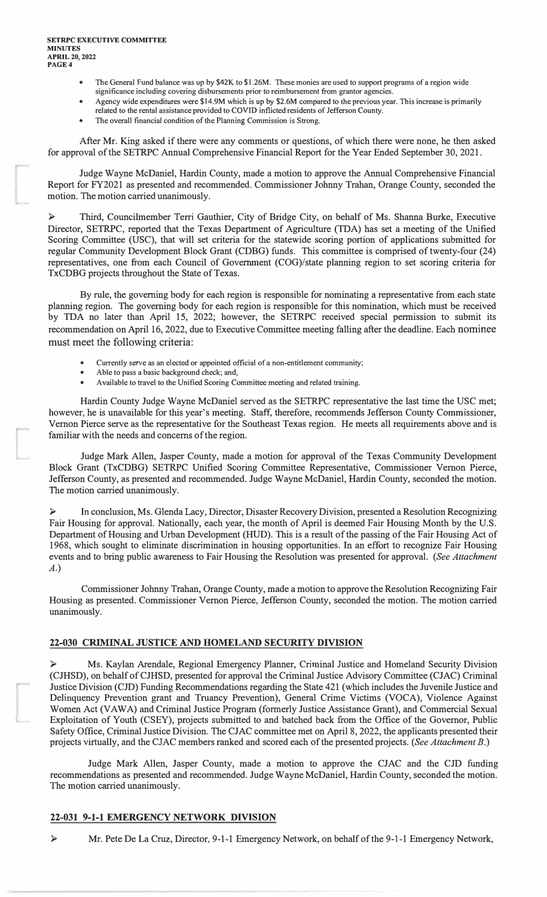- The General Fund balance was up by \$42K to \$1.26M. These monies are used to support programs of a region wide **significance including covering disbursements prior to reimbursement from grantor agencies.**
- **• Agency wide expenditures were \$14.9M which is up by \$2.6M compared to the previous year. This increase is primarily related to the rental assistance provided to COVID inflicted residents of Jefferson County.**
- **• The overall financial condition of the Planning Commission is Strong.**

After Mr. King asked if there were any comments or questions, of which there were none, he then asked for approval of the SETRPC Annual Comprehensive Financial Report for the Year Ended September 30, 2021.

Judge Wayne McDaniel, Hardin County, made a motion to approve the Annual Comprehensive Financial Report for FY2021 as presented and recommended. Commissioner Johnny Trahan, Orange County, seconded the motion. The motion carried unanimously.

► Third, Councilmember Terri Gauthier, City of Bridge City, on behalf of Ms. Shanna Burke, Executive Director, SETRPC, reported that the Texas Department of Agriculture (TDA) has set a meeting of the Unified Scoring Committee (USC), that will set criteria for the statewide scoring portion of applications submitted for regular Community Development Block Grant (CDBG) funds. This committee is comprised of twenty-four (24) representatives, one from each Council of Government (COG)/state planning region to set scoring criteria for TxCDBG projects throughout the State of Texas.

By rule, the governing body for each region is responsible for nominating a representative from each state planning region. The governing body for each region is responsible for this nomination, which must be received by TDA no later than April 15, 2022; however, the SETRPC received special permission to submit its recommendation on April 16, 2022, due to Executive Committee meeting falling after the deadline. Each nominee must meet the following criteria:

- **• Currently serve as an elected or appointed official of a non-entitlement community;**
- **• Able to pass a basic background check; and,**
- **• Available to travel to the Unified Scoring Committee meeting and related training.**

Hardin County Judge Wayne McDaniel served as the SETRPC representative the last time the USC met; however, he is unavailable for this year's meeting. Staff, therefore, recommends Jefferson County Commissioner, Vernon Pierce serve as the representative for the Southeast Texas region. He meets all requirements above and is familiar with the needs and concerns of the region.

Judge Mark Allen, Jasper County, made a motion for approval of the Texas Community Development Block Grant (TxCDBG) SETRPC Unified Scoring Committee Representative, Commissioner Vernon Pierce, Jefferson County, as presented and recommended. Judge Wayne McDaniel, Hardin County, seconded the motion. The motion carried unanimously.

► In conclusion, Ms. Glenda Lacy, Director, Disaster Recovery Division, presented a Resolution Recognizing Fair Housing for approval. Nationally, each year, the month of April is deemed Fair Housing Month by the U.S. Department of Housing and Urban Development (HUD). This is a result of the passing of the Fair Housing Act of 1968, which sought to eliminate discrimination in housing opportunities. In an effort to recognize Fair Housing events and to bring public awareness to Fair Housing the Resolution was presented for approval. *(See Attachment A.)*

Commissioner Johnny Trahan, Orange County, made a motion to approve the Resolution Recognizing Fair Housing as presented. Commissioner Vernon Pierce, Jefferson County, seconded the motion. The motion carried unanimously.

# **22-030 CRIMINAL JUSTICE AND HOMELAND SECURITY DIVISION**

► Ms. Kaylan Arendale, Regional Emergency Planner, Criminal Justice and Homeland Security Division (CJHSD), on behalf of CJHSD, presented for approval the Criminal Justice Advisory Committee (CJAC) Criminal Justice Division (CJD) Funding Recommendations regarding the State 421 (which includes the Juvenile Justice and Delinquency Prevention grant and Truancy Prevention), General Crime Victims (VOCA), Violence Against Women Act (VAWA) and Criminal Justice Program (formerly Justice Assistance Grant), and Commercial Sexual Exploitation of Youth (CSEY), projects submitted to and batched back from the Office of the Governor, Public Safety Office, Criminal Justice Division. The CJAC committee met on April 8, 2022, the applicants presented their projects virtually, and the CJAC members ranked and scored each of the presented projects. *(See Attachment B.)*

Judge Mark Allen, Jasper County, made a motion to approve the CJAC and the CJD funding recommendations as presented and recommended. Judge Wayne McDaniel, Hardin County, seconded the motion. The motion carried unanimously.

# **22-031 9-1-1 EMERGENCY NETWORK DIVISION**

Mr. Pete De La Cruz, Director, 9-1-1 Emergency Network, on behalf of the 9-1-1 Emergency Network,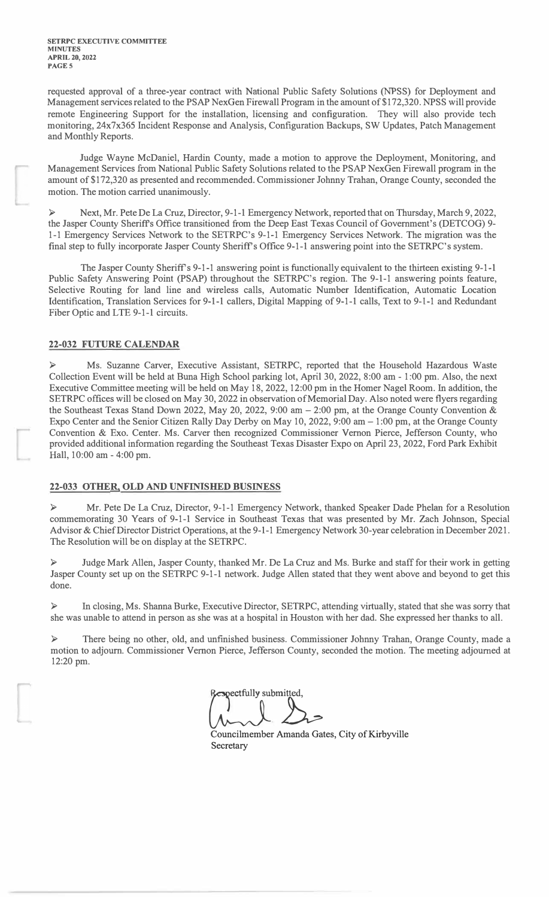requested approval of a three-year contract with National Public Safety Solutions {NPSS) for Deployment and Management services related to the PSAP NexGen Firewall Program in the amount of \$172,320. NPSS will provide remote Engineering Support for the installation, licensing and configuration. They will also provide tech monitoring, 24x7x365 Incident Response and Analysis, Configuration Backups, SW Updates, Patch Management and Monthly Reports.

Judge Wayne McDaniel, Hardin County, made a motion to approve the Deployment, Monitoring, and Management Services from National Public Safety Solutions related to the PSAP NexGen Firewall program in the amount of \$172,320 as presented and recommended. Commissioner Johnny Trahan, Orange County, seconded the motion. The motion carried unanimously.

► Next, Mr. Pete De La Cruz, Director, 9-1-1 Emergency Network, reported that on Thursday, March 9, 2022, the Jasper County Sheriffs Office transitioned from the Deep East Texas Council of Government's (DETCOG) 9- 1-1 Emergency Services Network to the SETRPC's 9-1-1 Emergency Services Network. The migration was the final step to fully incorporate Jasper County Sheriff's Office 9-1-1 answering point into the SETRPC's system.

The Jasper County Sheriff's 9-1-1 answering point is functionally equivalent to the thirteen existing 9-1-1 Public Safety Answering Point (PSAP) throughout the SETRPC's region. The 9-1-1 answering points feature, Selective Routing for land line and wireless calls, Automatic Number Identification, Automatic Location Identification, Translation Services for 9-1-1 callers, Digital Mapping of 9-1-1 calls, Text to 9-1-1 and Redundant Fiber Optic and LTE 9-1-1 circuits.

# **22-032 FUTURE CALENDAR**

► Ms. Suzanne Carver, Executive Assistant, SETRPC, reported that the Household Hazardous Waste Collection Event will be held at Buna High School parking lot, April 30, 2022, 8:00 am - 1 :00 pm. Also, the next Executive Committee meeting will be held on May 18, 2022, 12:00 pm in the Homer Nagel Room. In addition, the SETRPC offices will be closed on May 30, 2022 in observation of Memorial Day. Also noted were flyers regarding the Southeast Texas Stand Down 2022, May 20, 2022, 9:00 am - 2:00 pm, at the Orange County Convention & Expo Center and the Senior Citizen Rally Day Derby on May 10, 2022, 9:00 am - 1 :00 pm, at the Orange County Convention & Exo. Center. Ms. Carver then recognized Commissioner Vernon Pierce, Jefferson County, who provided additional information regarding the Southeast Texas Disaster Expo on April 23, 2022, Ford Park Exhibit Hall, 10:00 am - 4:00 pm.

## **22-033 OTHER, OLD AND UNFINISHED BUSINESS**

► Mr. Pete De La Cruz, Director, 9-1-1 Emergency Network, thanked Speaker Dade Phelan for a Resolution commemorating 30 Years of 9-1-1 Service in Southeast Texas that was presented by Mr. Zach Johnson, Special Advisor & Chief Director District Operations, at the 9-1-1 Emergency Network 30-year celebration in December 2021. The Resolution will be on display at the SETRPC.

► Judge Mark Allen, Jasper County, thanked Mr. De La Cruz and Ms. Burke and staff for their work in getting Jasper County set up on the SETRPC 9-1-1 network. Judge Allen stated that they went above and beyond to get this done.

► In closing, Ms. Shanna Burke, Executive Director, SETRPC, attending virtually, stated that she was sorry that she was unable to attend in person as she was at a hospital in Houston with her dad. She expressed her thanks to all.

► There being no other, old, and unfinished business. Commissioner Johnny Trahan, Orange County, made a motion to adjourn. Commissioner Vernon Pierce, Jefferson County, seconded the motion. The meeting adjourned at 12:20 pm.

Respectfully submitted,<br>
Councilmember Amanda Gates, City of Kirbyville

Secretary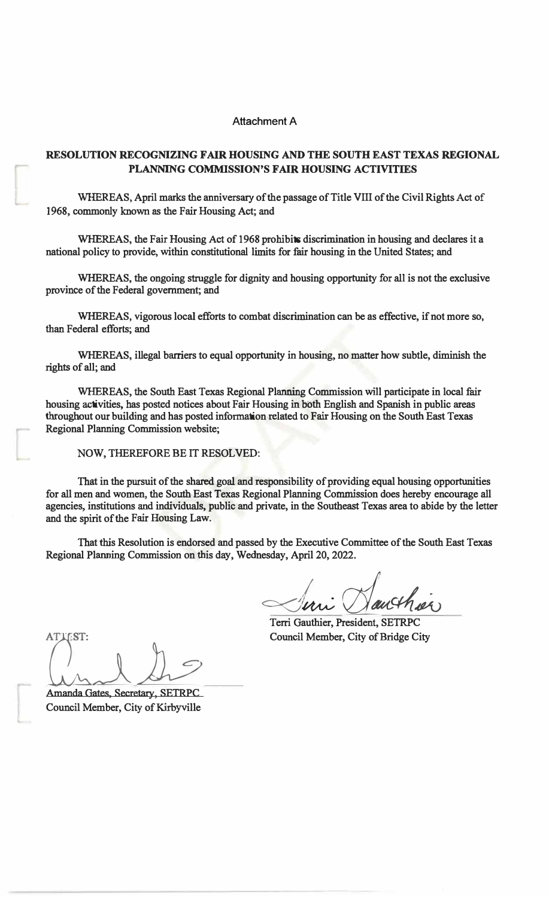# Attachment A

# **RESOLUTION RECOGNIZING FAIR HOUSING AND THE SOUTH EAST TEXAS REGIONAL PLANNING COMMISSION'S FAIR HOUSING ACTIVITIES**

**WHEREAS, April marks the anniversary of the passage of Title VIII of the Civil Rights Act of 1968, commonly known as the Fair Housing Act; and** 

**WHEREAS, the Fair Housing Act of 1968 prohibits discrimination in housing and declares it a national policy to provide, within constitutional limits for fair housing in the United States; and** 

**WHEREAS, the ongoing struggle for dignity and housing opportunity for all is not the exclusive province of the Federal government; and** 

**WHEREAS, vigorous local efforts to combat discrimination can be as effective, if not more so, than Federal efforts; and** 

**WHEREAS, illegal barriers to equal opportunity in housing, no matter how subtle, diminish the rights of all; and** 

**WHEREAS, the South East Texas Regional Planning Commission will participate in local fair housing activities, has posted notices about Fair Housing in both English and Spanish in public areas**  throughout our building and has posted information related to Fair Housing on the South East Texas **Regional Planning Commission website;** 

**NOW, THEREFORE BE IT RESOLVED:** 

**That in the pursuit of the shared- goal and responsibility of providing equal housing opportunities for all men and women, the South East Texas Regional Planning Commission does hereby encourage all agencies, institutions and individuals, public'and private, in the Southeast Texas area to abide by the letter and the spirit of the Fair Housing Law:** 

**That this Resolution is endorsed and passed by the Executive Committee of the South East Texas Regional Planning Commission on this day, Wednesday, April 20, 2022.** 

*=<:I� rzi���*  **Terri Gauthier, President, SETRPC** 

**Council Member, City of Bridge City** 

ATTEST: *I!ih*  **Amanda Gates, Secretary, SETRPC** 

**Council Member, City of Kirbyville**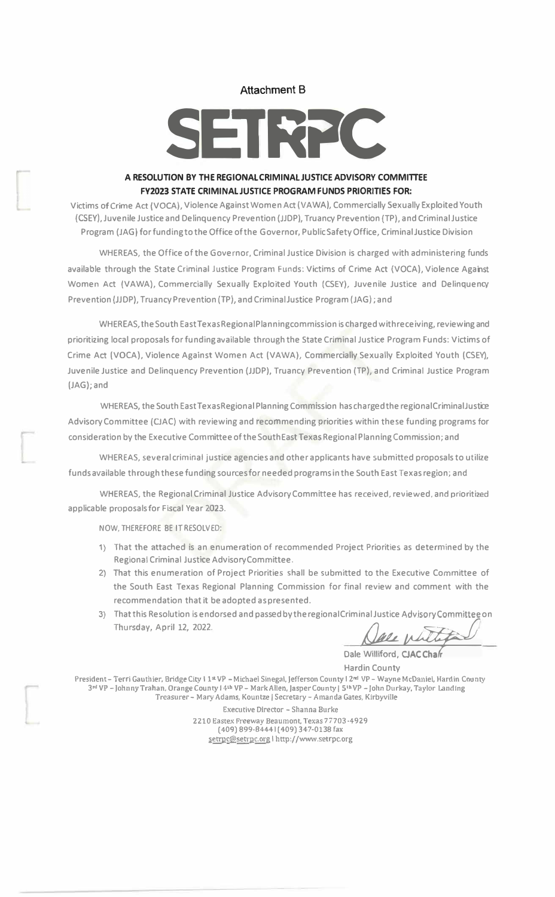## **Attachment B**

# SETRPC

# **A RESOLUTION BY THE REGIONALCRIMINALJUSTICE ADVISORY COMMITTEE FV2023 STATE CRIMINALJUSTICE PROGRAM FUNDS PRIORITIES FOR:**

Victims of Crime Act {VOCA), Viole nee Against Women Act ( VA **WA),** Commercially Sexually Exploited Youth (CSEY), Juvenile Justice and Delinquency Prevention (JJDP), Truancy Prevention (TP), and CriminalJustice Program (JAG) forfunding to the Office of the Governor, Public Safety Office, CriminalJustice Division

WHEREAS, the Office of the Governor, Criminal Justice Division is charged with administering funds available through the State Criminal Justice Program Funds: Victims of Crime Act (VOCA), Violence Against Women Act (VAWA), Commercially Sexually Exploited Youth (CSEY), Juvenile Justice and Delinquency Prevention {JJDP), Truancy Prevention (TP), and CriminalJustice Program (JAG); and

WHEREAS,the South EastTexas Regional Planning commission is charged with receiving, reviewing and prioritizing local proposals for funding available through the State Criminal Justice Program Funds: Victims of Crime Act (VOCA), Violence Against Women Act (VAWA), Commercially Sexually Exploited Youth (CSEY), Juvenile Justice and Delinquency Prevention (JJDP), Truancy Prevention (TP), and Criminal Justice Program (JAG); and

WHEREAS, the South EastTexasRegional Planning Commission has charged the regionalCriminalJustce Advisory Committee (OAC) with reviewing and recommending priorities within these funding programs for consideration by the Executive Committee of the South East Texas Regional Planning Commission; and

WHEREAS, several criminal justice agencies and other applicants have submitted proposals to utilize funds available through these funding sources for needed programs in the South East Texas region; and

WHEREAS, the Regional Criminal Justice Advisory Committee has received, reviewed. and prioritized applicable proposals for Fiscal Year 2023.

NOW, THEREFORE BE IT RESOLVED:

- 1} That the attached is an enumeration of recommended Project Priorities as determined by the Regional Criminal Justice AdvisoryCommittee.
- 2) That this enumeration of Project Priorities shall be submitted to the Executive Committee of the South East Texas Regional Planning Commission for final review and comment with the recommendation thatit be adopted aspresented.
- 3) That this Resolution is endorsed and passed by the regional Criminal Justice Advisory Committee on **Thursday, April 12, 2022.**

**Dale Williford, CJAC** 

Hardin County President - Terri Gauthier, Bridge City I 1 <sup>s</sup> VP - Michael Sinegal, Jefferson County I 2<sup>nd</sup> VP - Wayne McDaniel, Hardin County 3rd VP -Johnny Trahan, Orange County l 41h VP-Mark Allen, Jasper County I 51hVP -John Durkay, Taylor Landing Treasurer- Mary Adams, Kountze I Secretary-Amanda Gates, Kirbyville

> Executive Director - Shanna Burke 2210 Eastex Freeway Beaumont, Texas 77703-4929 ( 409) 899-8444 I ( 409) 347-0138 fax setrpc@setrpc.org | http://www.setrpc.org